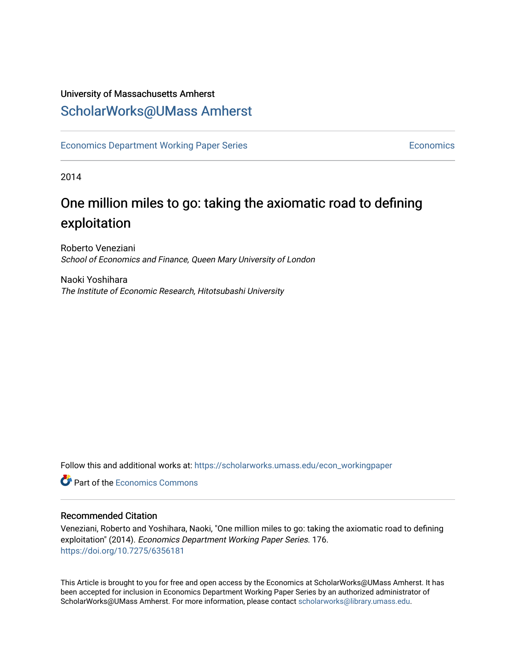### University of Massachusetts Amherst [ScholarWorks@UMass Amherst](https://scholarworks.umass.edu/)

[Economics Department Working Paper Series](https://scholarworks.umass.edu/econ_workingpaper) **Economics** [Economics](https://scholarworks.umass.edu/economics) Economics

2014

# One million miles to go: taking the axiomatic road to defining exploitation

Roberto Veneziani School of Economics and Finance, Queen Mary University of London

Naoki Yoshihara The Institute of Economic Research, Hitotsubashi University

Follow this and additional works at: [https://scholarworks.umass.edu/econ\\_workingpaper](https://scholarworks.umass.edu/econ_workingpaper?utm_source=scholarworks.umass.edu%2Fecon_workingpaper%2F176&utm_medium=PDF&utm_campaign=PDFCoverPages) 

**C** Part of the [Economics Commons](http://network.bepress.com/hgg/discipline/340?utm_source=scholarworks.umass.edu%2Fecon_workingpaper%2F176&utm_medium=PDF&utm_campaign=PDFCoverPages)

#### Recommended Citation

Veneziani, Roberto and Yoshihara, Naoki, "One million miles to go: taking the axiomatic road to defining exploitation" (2014). Economics Department Working Paper Series. 176. <https://doi.org/10.7275/6356181>

This Article is brought to you for free and open access by the Economics at ScholarWorks@UMass Amherst. It has been accepted for inclusion in Economics Department Working Paper Series by an authorized administrator of ScholarWorks@UMass Amherst. For more information, please contact [scholarworks@library.umass.edu.](mailto:scholarworks@library.umass.edu)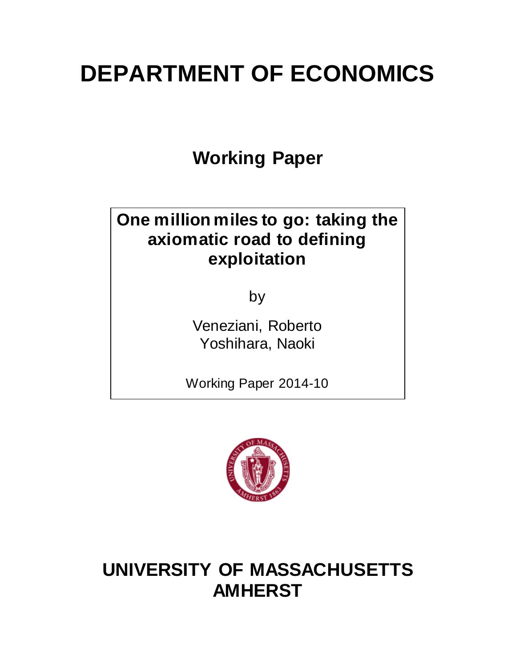# **DEPARTMENT OF ECONOMICS**

**Working Paper**

# **One million miles to go: taking the axiomatic road to defining exploitation**

by

Veneziani, Roberto Yoshihara, Naoki

Working Paper 2014-10



# **UNIVERSITY OF MASSACHUSETTS AMHERST**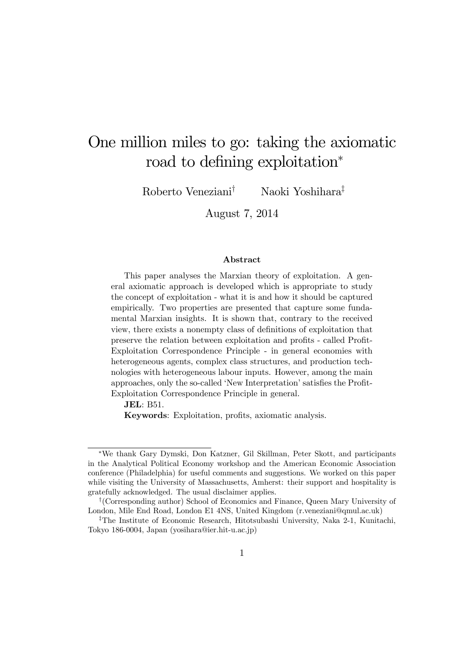# One million miles to go: taking the axiomatic road to defining exploitation<sup>∗</sup>

Roberto Veneziani† Naoki Yoshihara‡

August 7, 2014

#### Abstract

This paper analyses the Marxian theory of exploitation. A general axiomatic approach is developed which is appropriate to study the concept of exploitation - what it is and how it should be captured empirically. Two properties are presented that capture some fundamental Marxian insights. It is shown that, contrary to the received view, there exists a nonempty class of definitions of exploitation that preserve the relation between exploitation and profits - called Profit-Exploitation Correspondence Principle - in general economies with heterogeneous agents, complex class structures, and production technologies with heterogeneous labour inputs. However, among the main approaches, only the so-called 'New Interpretation' satisfies the Profit-Exploitation Correspondence Principle in general.

JEL: B51.

Keywords: Exploitation, profits, axiomatic analysis.

<sup>∗</sup>We thank Gary Dymski, Don Katzner, Gil Skillman, Peter Skott, and participants in the Analytical Political Economy workshop and the American Economic Association conference (Philadelphia) for useful comments and suggestions. We worked on this paper while visiting the University of Massachusetts, Amherst: their support and hospitality is gratefully acknowledged. The usual disclaimer applies.

<sup>†</sup>(Corresponding author) School of Economics and Finance, Queen Mary University of London, Mile End Road, London E1 4NS, United Kingdom (r.veneziani@qmul.ac.uk)

<sup>‡</sup>The Institute of Economic Research, Hitotsubashi University, Naka 2-1, Kunitachi, Tokyo 186-0004, Japan (yosihara@ier.hit-u.ac.jp)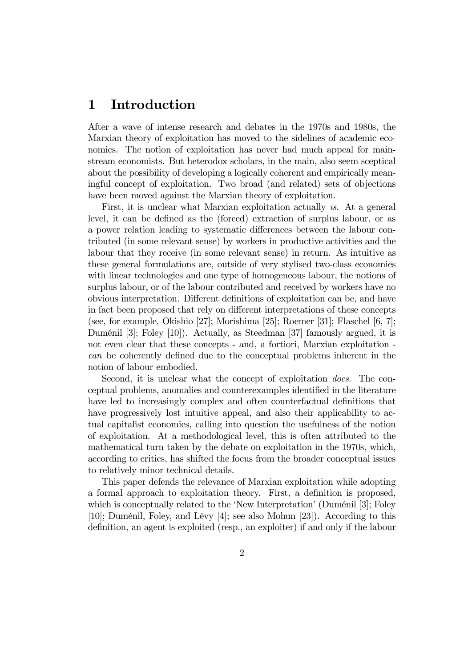#### 1 Introduction

After a wave of intense research and debates in the 1970s and 1980s, the Marxian theory of exploitation has moved to the sidelines of academic economics. The notion of exploitation has never had much appeal for mainstream economists. But heterodox scholars, in the main, also seem sceptical about the possibility of developing a logically coherent and empirically meaningful concept of exploitation. Two broad (and related) sets of objections have been moved against the Marxian theory of exploitation.

First, it is unclear what Marxian exploitation actually is. At a general level, it can be defined as the (forced) extraction of surplus labour, or as a power relation leading to systematic differences between the labour contributed (in some relevant sense) by workers in productive activities and the labour that they receive (in some relevant sense) in return. As intuitive as these general formulations are, outside of very stylised two-class economies with linear technologies and one type of homogeneous labour, the notions of surplus labour, or of the labour contributed and received by workers have no obvious interpretation. Different definitions of exploitation can be, and have in fact been proposed that rely on different interpretations of these concepts (see, for example, Okishio [27]; Morishima [25]; Roemer [31]; Flaschel [6, 7]; Duménil [3]; Foley [10]). Actually, as Steedman [37] famously argued, it is not even clear that these concepts - and, a fortiori, Marxian exploitation can be coherently defined due to the conceptual problems inherent in the notion of labour embodied.

Second, it is unclear what the concept of exploitation *does*. The conceptual problems, anomalies and counterexamples identified in the literature have led to increasingly complex and often counterfactual definitions that have progressively lost intuitive appeal, and also their applicability to actual capitalist economies, calling into question the usefulness of the notion of exploitation. At a methodological level, this is often attributed to the mathematical turn taken by the debate on exploitation in the 1970s, which, according to critics, has shifted the focus from the broader conceptual issues to relatively minor technical details.

This paper defends the relevance of Marxian exploitation while adopting a formal approach to exploitation theory. First, a definition is proposed, which is conceptually related to the 'New Interpretation' (Duménil [3]; Foley [10]; Duménil, Foley, and Lévy [4]; see also Mohun [23]). According to this definition, an agent is exploited (resp., an exploiter) if and only if the labour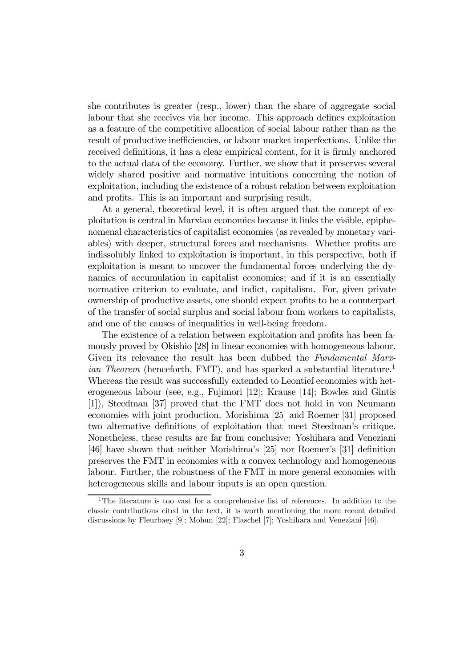she contributes is greater (resp., lower) than the share of aggregate social labour that she receives via her income. This approach defines exploitation as a feature of the competitive allocation of social labour rather than as the result of productive inefficiencies, or labour market imperfections. Unlike the received definitions, it has a clear empirical content, for it is firmly anchored to the actual data of the economy. Further, we show that it preserves several widely shared positive and normative intuitions concerning the notion of exploitation, including the existence of a robust relation between exploitation and profits. This is an important and surprising result.

At a general, theoretical level, it is often argued that the concept of exploitation is central in Marxian economics because it links the visible, epiphenomenal characteristics of capitalist economies (as revealed by monetary variables) with deeper, structural forces and mechanisms. Whether profits are indissolubly linked to exploitation is important, in this perspective, both if exploitation is meant to uncover the fundamental forces underlying the dynamics of accumulation in capitalist economies; and if it is an essentially normative criterion to evaluate, and indict, capitalism. For, given private ownership of productive assets, one should expect profits to be a counterpart of the transfer of social surplus and social labour from workers to capitalists, and one of the causes of inequalities in well-being freedom.

The existence of a relation between exploitation and profits has been famously proved by Okishio [28] in linear economies with homogeneous labour. Given its relevance the result has been dubbed the *Fundamental Marx*ian Theorem (henceforth, FMT), and has sparked a substantial literature.<sup>1</sup> Whereas the result was successfully extended to Leontief economies with heterogeneous labour (see, e.g., Fujimori [12]; Krause [14]; Bowles and Gintis [1]), Steedman [37] proved that the FMT does not hold in von Neumann economies with joint production. Morishima [25] and Roemer [31] proposed two alternative definitions of exploitation that meet Steedman's critique. Nonetheless, these results are far from conclusive: Yoshihara and Veneziani [46] have shown that neither Morishima's [25] nor Roemer's [31] definition preserves the FMT in economies with a convex technology and homogeneous labour. Further, the robustness of the FMT in more general economies with heterogeneous skills and labour inputs is an open question.

<sup>&</sup>lt;sup>1</sup>The literature is too vast for a comprehensive list of references. In addition to the classic contributions cited in the text, it is worth mentioning the more recent detailed discussions by Fleurbaey [9]; Mohun [22]; Flaschel [7]; Yoshihara and Veneziani [46].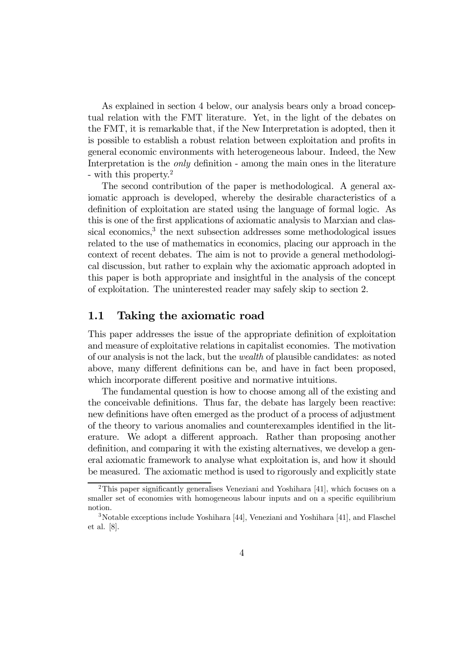As explained in section 4 below, our analysis bears only a broad conceptual relation with the FMT literature. Yet, in the light of the debates on the FMT, it is remarkable that, if the New Interpretation is adopted, then it is possible to establish a robust relation between exploitation and profits in general economic environments with heterogeneous labour. Indeed, the New Interpretation is the only definition - among the main ones in the literature - with this property.<sup>2</sup>

The second contribution of the paper is methodological. A general axiomatic approach is developed, whereby the desirable characteristics of a definition of exploitation are stated using the language of formal logic. As this is one of the first applications of axiomatic analysis to Marxian and classical economics, $3$  the next subsection addresses some methodological issues related to the use of mathematics in economics, placing our approach in the context of recent debates. The aim is not to provide a general methodological discussion, but rather to explain why the axiomatic approach adopted in this paper is both appropriate and insightful in the analysis of the concept of exploitation. The uninterested reader may safely skip to section 2.

#### 1.1 Taking the axiomatic road

This paper addresses the issue of the appropriate definition of exploitation and measure of exploitative relations in capitalist economies. The motivation of our analysis is not the lack, but the wealth of plausible candidates: as noted above, many different definitions can be, and have in fact been proposed, which incorporate different positive and normative intuitions.

The fundamental question is how to choose among all of the existing and the conceivable definitions. Thus far, the debate has largely been reactive: new definitions have often emerged as the product of a process of adjustment of the theory to various anomalies and counterexamples identified in the literature. We adopt a different approach. Rather than proposing another definition, and comparing it with the existing alternatives, we develop a general axiomatic framework to analyse what exploitation is, and how it should be measured. The axiomatic method is used to rigorously and explicitly state

<sup>2</sup>This paper significantly generalises Veneziani and Yoshihara [41], which focuses on a smaller set of economies with homogeneous labour inputs and on a specific equilibrium notion.

<sup>3</sup>Notable exceptions include Yoshihara [44], Veneziani and Yoshihara [41], and Flaschel et al. [8].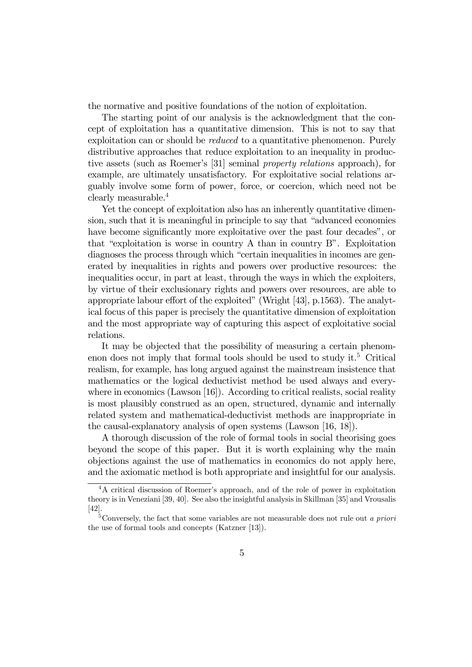the normative and positive foundations of the notion of exploitation.

The starting point of our analysis is the acknowledgment that the concept of exploitation has a quantitative dimension. This is not to say that exploitation can or should be *reduced* to a quantitative phenomenon. Purely distributive approaches that reduce exploitation to an inequality in productive assets (such as Roemer's [31] seminal property relations approach), for example, are ultimately unsatisfactory. For exploitative social relations arguably involve some form of power, force, or coercion, which need not be clearly measurable.4

Yet the concept of exploitation also has an inherently quantitative dimension, such that it is meaningful in principle to say that "advanced economies have become significantly more exploitative over the past four decades", or that "exploitation is worse in country A than in country B". Exploitation diagnoses the process through which "certain inequalities in incomes are generated by inequalities in rights and powers over productive resources: the inequalities occur, in part at least, through the ways in which the exploiters, by virtue of their exclusionary rights and powers over resources, are able to appropriate labour effort of the exploited" (Wright [43], p.1563). The analytical focus of this paper is precisely the quantitative dimension of exploitation and the most appropriate way of capturing this aspect of exploitative social relations.

It may be objected that the possibility of measuring a certain phenomenon does not imply that formal tools should be used to study it.<sup>5</sup> Critical realism, for example, has long argued against the mainstream insistence that mathematics or the logical deductivist method be used always and everywhere in economics (Lawson [16]). According to critical realists, social reality is most plausibly construed as an open, structured, dynamic and internally related system and mathematical-deductivist methods are inappropriate in the causal-explanatory analysis of open systems (Lawson [16, 18]).

A thorough discussion of the role of formal tools in social theorising goes beyond the scope of this paper. But it is worth explaining why the main objections against the use of mathematics in economics do not apply here, and the axiomatic method is both appropriate and insightful for our analysis.

<sup>4</sup>A critical discussion of Roemer's approach, and of the role of power in exploitation theory is in Veneziani [39, 40]. See also the insightful analysis in Skillman [35] and Vrousalis [42].

 $5$ Conversely, the fact that some variables are not measurable does not rule out a priori the use of formal tools and concepts (Katzner [13]).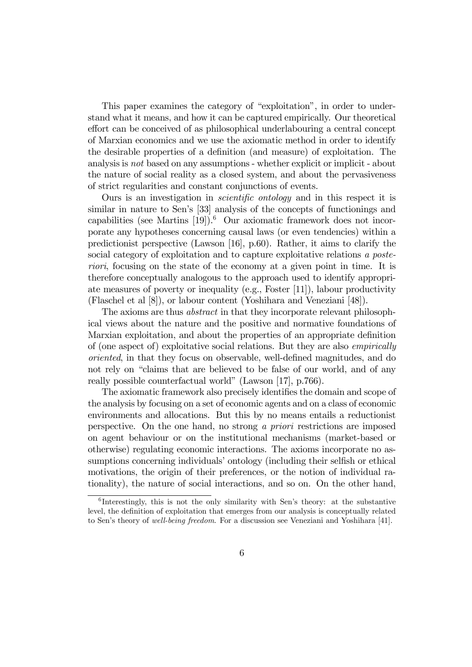This paper examines the category of "exploitation", in order to understand what it means, and how it can be captured empirically. Our theoretical effort can be conceived of as philosophical underlabouring a central concept of Marxian economics and we use the axiomatic method in order to identify the desirable properties of a definition (and measure) of exploitation. The analysis is not based on any assumptions - whether explicit or implicit - about the nature of social reality as a closed system, and about the pervasiveness of strict regularities and constant conjunctions of events.

Ours is an investigation in scientific ontology and in this respect it is similar in nature to Sen's [33] analysis of the concepts of functionings and capabilities (see Martins  $[19]$ ).<sup>6</sup> Our axiomatic framework does not incorporate any hypotheses concerning causal laws (or even tendencies) within a predictionist perspective (Lawson [16], p.60). Rather, it aims to clarify the social category of exploitation and to capture exploitative relations a posteriori, focusing on the state of the economy at a given point in time. It is therefore conceptually analogous to the approach used to identify appropriate measures of poverty or inequality (e.g., Foster [11]), labour productivity (Flaschel et al [8]), or labour content (Yoshihara and Veneziani [48]).

The axioms are thus abstract in that they incorporate relevant philosophical views about the nature and the positive and normative foundations of Marxian exploitation, and about the properties of an appropriate definition of (one aspect of) exploitative social relations. But they are also empirically oriented, in that they focus on observable, well-defined magnitudes, and do not rely on "claims that are believed to be false of our world, and of any really possible counterfactual world" (Lawson [17], p.766).

The axiomatic framework also precisely identifies the domain and scope of the analysis by focusing on a set of economic agents and on a class of economic environments and allocations. But this by no means entails a reductionist perspective. On the one hand, no strong a priori restrictions are imposed on agent behaviour or on the institutional mechanisms (market-based or otherwise) regulating economic interactions. The axioms incorporate no assumptions concerning individuals' ontology (including their selfish or ethical motivations, the origin of their preferences, or the notion of individual rationality), the nature of social interactions, and so on. On the other hand,

 ${}^{6}$ Interestingly, this is not the only similarity with Sen's theory: at the substantive level, the definition of exploitation that emerges from our analysis is conceptually related to Sen's theory of well-being freedom. For a discussion see Veneziani and Yoshihara [41].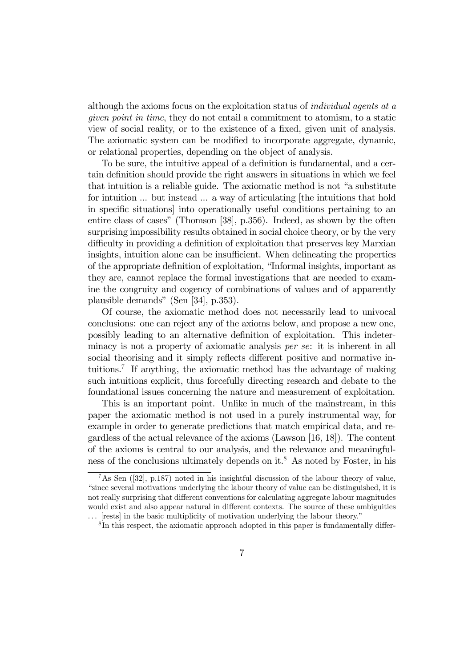although the axioms focus on the exploitation status of individual agents at a given point in time, they do not entail a commitment to atomism, to a static view of social reality, or to the existence of a fixed, given unit of analysis. The axiomatic system can be modified to incorporate aggregate, dynamic, or relational properties, depending on the object of analysis.

To be sure, the intuitive appeal of a definition is fundamental, and a certain definition should provide the right answers in situations in which we feel that intuition is a reliable guide. The axiomatic method is not "a substitute for intuition ... but instead ... a way of articulating [the intuitions that hold in specific situations] into operationally useful conditions pertaining to an entire class of cases" (Thomson [38], p.356). Indeed, as shown by the often surprising impossibility results obtained in social choice theory, or by the very difficulty in providing a definition of exploitation that preserves key Marxian insights, intuition alone can be insufficient. When delineating the properties of the appropriate definition of exploitation, "Informal insights, important as they are, cannot replace the formal investigations that are needed to examine the congruity and cogency of combinations of values and of apparently plausible demands" (Sen [34], p.353).

Of course, the axiomatic method does not necessarily lead to univocal conclusions: one can reject any of the axioms below, and propose a new one, possibly leading to an alternative definition of exploitation. This indeterminacy is not a property of axiomatic analysis per se: it is inherent in all social theorising and it simply reflects different positive and normative intuitions.<sup>7</sup> If anything, the axiomatic method has the advantage of making such intuitions explicit, thus forcefully directing research and debate to the foundational issues concerning the nature and measurement of exploitation.

This is an important point. Unlike in much of the mainstream, in this paper the axiomatic method is not used in a purely instrumental way, for example in order to generate predictions that match empirical data, and regardless of the actual relevance of the axioms (Lawson [16, 18]). The content of the axioms is central to our analysis, and the relevance and meaningfulness of the conclusions ultimately depends on it.<sup>8</sup> As noted by Foster, in his

<sup>7</sup>As Sen ([32], p.187) noted in his insightful discussion of the labour theory of value, "since several motivations underlying the labour theory of value can be distinguished, it is not really surprising that different conventions for calculating aggregate labour magnitudes would exist and also appear natural in different contexts. The source of these ambiguities . . . [rests] in the basic multiplicity of motivation underlying the labour theory."

<sup>&</sup>lt;sup>8</sup>In this respect, the axiomatic approach adopted in this paper is fundamentally differ-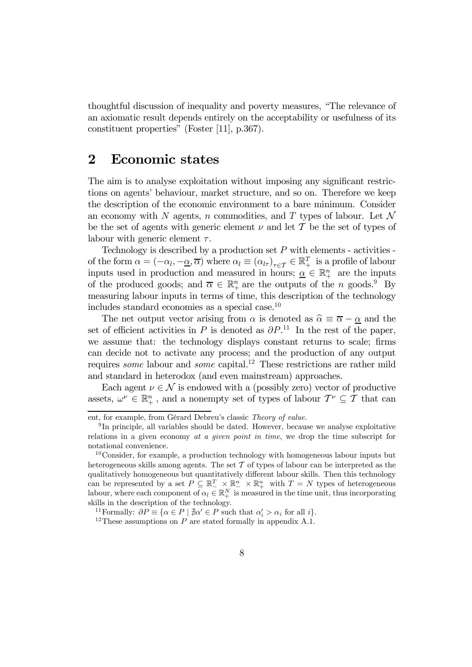thoughtful discussion of inequality and poverty measures, "The relevance of an axiomatic result depends entirely on the acceptability or usefulness of its constituent properties" (Foster [11], p.367).

#### 2 Economic states

The aim is to analyse exploitation without imposing any significant restrictions on agents' behaviour, market structure, and so on. Therefore we keep the description of the economic environment to a bare minimum. Consider an economy with N agents, n commodities, and T types of labour. Let  $\mathcal N$ be the set of agents with generic element  $\nu$  and let T be the set of types of labour with generic element  $\tau$ .

Technology is described by a production set  $P$  with elements - activities of the form  $\alpha = (-\alpha_l, -\alpha, \overline{\alpha})$  where  $\alpha_l \equiv (\alpha_{l\tau})_{\tau \in \mathcal{T}} \in \mathbb{R}_+^T$  is a profile of labour inputs used in production and measured in hours;  $\alpha \in \mathbb{R}^n_+$  are the inputs of the produced goods; and  $\overline{\alpha} \in \mathbb{R}^n_+$  are the outputs of the n goods.<sup>9</sup> By measuring labour inputs in terms of time, this description of the technology includes standard economies as a special case.10

The net output vector arising from  $\alpha$  is denoted as  $\hat{\alpha} \equiv \overline{\alpha} - \alpha$  and the set of efficient activities in P is denoted as  $\partial P^{11}$ . In the rest of the paper, we assume that: the technology displays constant returns to scale; firms can decide not to activate any process; and the production of any output requires *some* labour and *some* capital.<sup>12</sup> These restrictions are rather mild and standard in heterodox (and even mainstream) approaches.

Each agent  $\nu \in \mathcal{N}$  is endowed with a (possibly zero) vector of productive assets,  $\omega^{\nu} \in \mathbb{R}^{n}_{+}$ , and a nonempty set of types of labour  $\mathcal{T}^{\nu} \subseteq \mathcal{T}$  that can

ent, for example, from Gérard Debreu's classic Theory of value.

<sup>9</sup> In principle, all variables should be dated. However, because we analyse exploitative relations in a given economy at a given point in time, we drop the time subscript for notational convenience.

 $10\text{Consider, for example, a production technology with homogeneous labour inputs but}$ heterogeneous skills among agents. The set  $\mathcal T$  of types of labour can be interpreted as the qualitatively homogeneous but quantitatively different labour skills. Then this technology can be represented by a set  $P \subseteq \mathbb{R}_+^T \times \mathbb{R}_+^n \times \mathbb{R}_+^n$  with  $T = N$  types of heterogeneous labour, where each component of  $\alpha_l \in \mathbb{R}^N_+$  is measured in the time unit, thus incorporating skills in the description of the technology.

<sup>&</sup>lt;sup>11</sup>Formally:  $\partial P \equiv \{ \alpha \in P \mid \nexists \alpha' \in P \text{ such that } \alpha'_i > \alpha_i \text{ for all } i \}.$ 

<sup>&</sup>lt;sup>12</sup>These assumptions on P are stated formally in appendix A.1.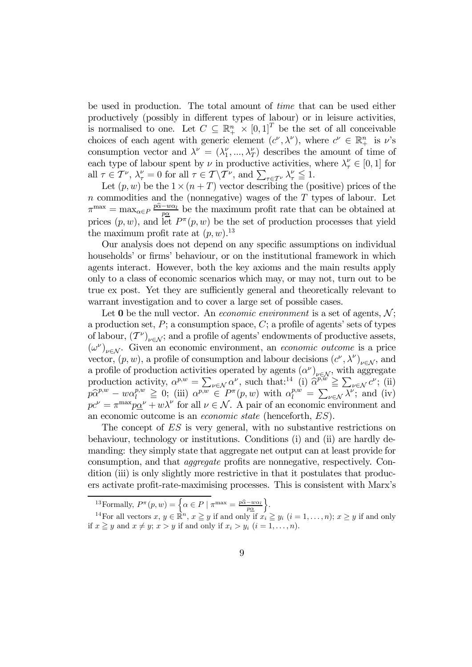be used in production. The total amount of time that can be used either productively (possibly in different types of labour) or in leisure activities, is normalised to one. Let  $C \subseteq \mathbb{R}_+^n \times [0,1]^T$  be the set of all conceivable choices of each agent with generic element  $(c^{\nu}, \lambda^{\nu})$ , where  $c^{\nu} \in \mathbb{R}^n_+$  is  $\nu$ 's consumption vector and  $\lambda^{\nu} = (\lambda_1^{\nu}, ..., \lambda_T^{\nu})$  describes the amount of time of each type of labour spent by  $\nu$  in productive activities, where  $\lambda^{\nu}_{\tau} \in [0,1]$  for all  $\tau \in \mathcal{T}^{\nu}$ ,  $\lambda_{\tau}^{\nu} = 0$  for all  $\tau \in \mathcal{T} \backslash \mathcal{T}^{\nu}$ , and  $\sum_{\tau \in \mathcal{T}^{\nu}} \lambda_{\tau}^{\nu} \leq 1$ .

Let  $(p, w)$  be the  $1 \times (n + T)$  vector describing the (positive) prices of the  $n$  commodities and the (nonnegative) wages of the  $T$  types of labour. Let  $\pi^{\max} = \max_{\alpha \in P} \frac{p\widehat{\alpha} - w\alpha_l}{p\alpha}$  be the maximum profit rate that can be obtained at prices  $(p, w)$ , and let  $P^{\pi}(p, w)$  be the set of production processes that yield the maximum profit rate at  $(p, w)$ .<sup>13</sup>

Our analysis does not depend on any specific assumptions on individual households' or firms' behaviour, or on the institutional framework in which agents interact. However, both the key axioms and the main results apply only to a class of economic scenarios which may, or may not, turn out to be true ex post. Yet they are sufficiently general and theoretically relevant to warrant investigation and to cover a large set of possible cases.

Let 0 be the null vector. An *economic environment* is a set of agents,  $\mathcal{N}$ ; a production set,  $P$ ; a consumption space,  $C$ ; a profile of agents' sets of types of labour,  $(T^{\nu})_{\nu \in \mathcal{N}}$ ; and a profile of agents' endowments of productive assets,  $(\omega^{\nu})_{\nu \in \mathcal{N}}$ . Given an economic environment, an *economic outcome* is a price vector,  $(p, w)$ , a profile of consumption and labour decisions  $(c^{\nu}, \lambda^{\nu})_{\nu \in \mathcal{N}}$ , and a profile of production activities operated by agents  $(\alpha^{\nu})_{\nu \in \mathcal{N}}$ , with aggregate production activity,  $\alpha^{p,w} = \sum_{\nu \in \mathcal{N}} \alpha^{\nu}$ , such that:<sup>14</sup> (i)  $\hat{\alpha}^{p,w} \ge \sum_{\nu \in \mathcal{N}} c^{\nu}$ ; (ii)  $p\widehat{\alpha}^{p,w} - w\alpha_l^{p,w} \geqq 0$ ; (iii)  $\alpha^{p,w} \in P^{\pi}(p,w)$  with  $\alpha_l^{p,w} = \sum_{\nu \in \mathcal{N}} \lambda^{\nu}$ ; and (iv)  $pc^{\nu} = \pi^{\max} \rho \alpha^{\nu} + w \lambda^{\nu}$  for all  $\nu \in \mathcal{N}$ . A pair of an economic environment and an economic outcome is an economic state (henceforth, ES).

The concept of ES is very general, with no substantive restrictions on behaviour, technology or institutions. Conditions (i) and (ii) are hardly demanding: they simply state that aggregate net output can at least provide for consumption, and that aggregate profits are nonnegative, respectively. Condition (iii) is only slightly more restrictive in that it postulates that producers activate profit-rate-maximising processes. This is consistent with Marx's

<sup>&</sup>lt;sup>13</sup> Formally,  $P^{\pi}(p, w) = \left\{ \alpha \in P \mid \pi^{\max} = \frac{p\hat{\alpha} - w\alpha_1}{p\alpha_1} \right\}$  $\}$ .

<sup>&</sup>lt;sup>14</sup>For all vectors  $x, y \in \mathbb{R}^n$ ,  $x \geq y$  if and only if  $x_i \geq y_i$   $(i = 1, \ldots, n)$ ;  $x \geq y$  if and only if  $x \geq y$  and  $x \neq y$ ;  $x > y$  if and only if  $x_i > y_i$   $(i = 1, \ldots, n)$ .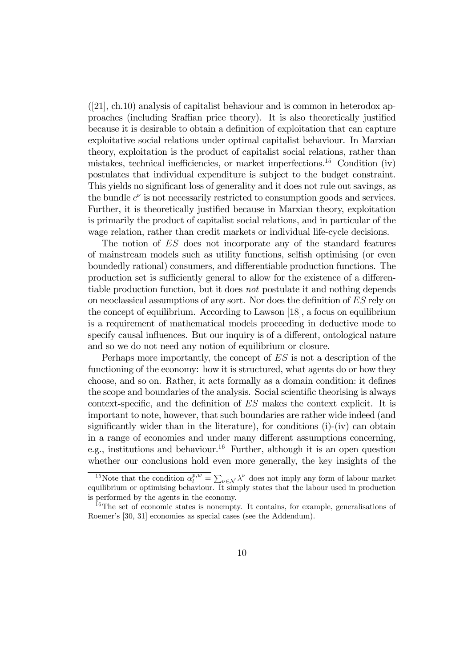$([21], ch.10)$  analysis of capitalist behaviour and is common in heterodox approaches (including Sraffian price theory). It is also theoretically justified because it is desirable to obtain a definition of exploitation that can capture exploitative social relations under optimal capitalist behaviour. In Marxian theory, exploitation is the product of capitalist social relations, rather than mistakes, technical inefficiencies, or market imperfections.<sup>15</sup> Condition (iv) postulates that individual expenditure is subject to the budget constraint. This yields no significant loss of generality and it does not rule out savings, as the bundle  $c^{\nu}$  is not necessarily restricted to consumption goods and services. Further, it is theoretically justified because in Marxian theory, exploitation is primarily the product of capitalist social relations, and in particular of the wage relation, rather than credit markets or individual life-cycle decisions.

The notion of ES does not incorporate any of the standard features of mainstream models such as utility functions, selfish optimising (or even boundedly rational) consumers, and differentiable production functions. The production set is sufficiently general to allow for the existence of a differentiable production function, but it does not postulate it and nothing depends on neoclassical assumptions of any sort. Nor does the definition of ES rely on the concept of equilibrium. According to Lawson [18], a focus on equilibrium is a requirement of mathematical models proceeding in deductive mode to specify causal influences. But our inquiry is of a different, ontological nature and so we do not need any notion of equilibrium or closure.

Perhaps more importantly, the concept of ES is not a description of the functioning of the economy: how it is structured, what agents do or how they choose, and so on. Rather, it acts formally as a domain condition: it defines the scope and boundaries of the analysis. Social scientific theorising is always context-specific, and the definition of ES makes the context explicit. It is important to note, however, that such boundaries are rather wide indeed (and significantly wider than in the literature), for conditions  $(i)-(iv)$  can obtain in a range of economies and under many different assumptions concerning, e.g., institutions and behaviour.<sup>16</sup> Further, although it is an open question whether our conclusions hold even more generally, the key insights of the

<sup>&</sup>lt;sup>15</sup>Note that the condition  $\alpha_l^{p,w} = \sum_{\nu \in \mathcal{N}} \lambda^{\nu}$  does not imply any form of labour market equilibrium or optimising behaviour. It simply states that the labour used in production is performed by the agents in the economy.

 $16$ The set of economic states is nonempty. It contains, for example, generalisations of Roemer's [30, 31] economies as special cases (see the Addendum).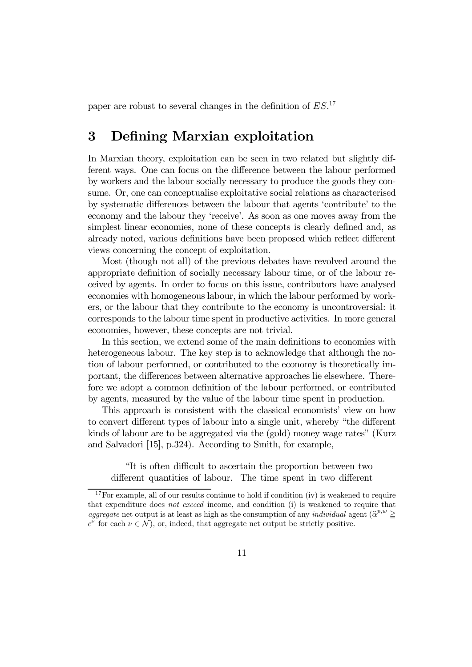paper are robust to several changes in the definition of  $ES$ <sup>17</sup>

## 3 Defining Marxian exploitation

In Marxian theory, exploitation can be seen in two related but slightly different ways. One can focus on the difference between the labour performed by workers and the labour socially necessary to produce the goods they consume. Or, one can conceptualise exploitative social relations as characterised by systematic differences between the labour that agents 'contribute' to the economy and the labour they 'receive'. As soon as one moves away from the simplest linear economies, none of these concepts is clearly defined and, as already noted, various definitions have been proposed which reflect different views concerning the concept of exploitation.

Most (though not all) of the previous debates have revolved around the appropriate definition of socially necessary labour time, or of the labour received by agents. In order to focus on this issue, contributors have analysed economies with homogeneous labour, in which the labour performed by workers, or the labour that they contribute to the economy is uncontroversial: it corresponds to the labour time spent in productive activities. In more general economies, however, these concepts are not trivial.

In this section, we extend some of the main definitions to economies with heterogeneous labour. The key step is to acknowledge that although the notion of labour performed, or contributed to the economy is theoretically important, the differences between alternative approaches lie elsewhere. Therefore we adopt a common definition of the labour performed, or contributed by agents, measured by the value of the labour time spent in production.

This approach is consistent with the classical economists' view on how to convert different types of labour into a single unit, whereby "the different kinds of labour are to be aggregated via the (gold) money wage rates" (Kurz and Salvadori [15], p.324). According to Smith, for example,

"It is often difficult to ascertain the proportion between two different quantities of labour. The time spent in two different

<sup>&</sup>lt;sup>17</sup>For example, all of our results continue to hold if condition (iv) is weakened to require that expenditure does not exceed income, and condition (i) is weakened to require that aggregate net output is at least as high as the consumption of any individual agent  $(\hat{\alpha}^{p,w} \geq$  $c^{\nu}$  for each  $\nu \in \mathcal{N}$ , or, indeed, that aggregate net output be strictly positive.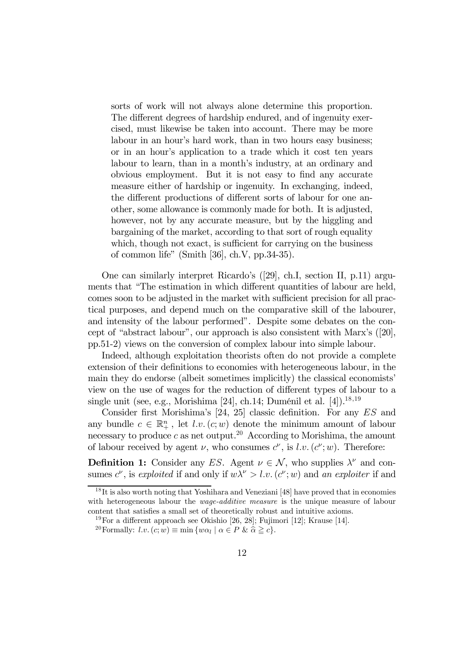sorts of work will not always alone determine this proportion. The different degrees of hardship endured, and of ingenuity exercised, must likewise be taken into account. There may be more labour in an hour's hard work, than in two hours easy business; or in an hour's application to a trade which it cost ten years labour to learn, than in a month's industry, at an ordinary and obvious employment. But it is not easy to find any accurate measure either of hardship or ingenuity. In exchanging, indeed, the different productions of different sorts of labour for one another, some allowance is commonly made for both. It is adjusted, however, not by any accurate measure, but by the higgling and bargaining of the market, according to that sort of rough equality which, though not exact, is sufficient for carrying on the business of common life" (Smith [36], ch.V, pp.34-35).

One can similarly interpret Ricardo's ([29], ch.I, section II, p.11) arguments that "The estimation in which different quantities of labour are held, comes soon to be adjusted in the market with sufficient precision for all practical purposes, and depend much on the comparative skill of the labourer, and intensity of the labour performed". Despite some debates on the concept of "abstract labour", our approach is also consistent with Marx's ([20], pp.51-2) views on the conversion of complex labour into simple labour.

Indeed, although exploitation theorists often do not provide a complete extension of their definitions to economies with heterogeneous labour, in the main they do endorse (albeit sometimes implicitly) the classical economists' view on the use of wages for the reduction of different types of labour to a single unit (see, e.g., Morishima [24], ch.14; Duménil et al.  $[4]$ ).<sup>18,19</sup>

Consider first Morishima's [24, 25] classic definition. For any ES and any bundle  $c \in \mathbb{R}_+^n$ , let l.v.  $(c; w)$  denote the minimum amount of labour necessary to produce  $c$  as net output.<sup>20</sup> According to Morishima, the amount of labour received by agent  $\nu$ , who consumes  $c^{\nu}$ , is l.v.  $(c^{\nu}; w)$ . Therefore:

**Definition 1:** Consider any ES. Agent  $\nu \in \mathcal{N}$ , who supplies  $\lambda^{\nu}$  and consumes c<sup> $\nu$ </sup>, is exploited if and only if  $w\lambda^{\nu} > l.v.$  (c<sup> $\nu$ </sup>; w) and an exploiter if and

<sup>&</sup>lt;sup>18</sup>It is also worth noting that Yoshihara and Veneziani [48] have proved that in economies with heterogeneous labour the *waqe-additive measure* is the unique measure of labour content that satisfies a small set of theoretically robust and intuitive axioms.

<sup>&</sup>lt;sup>19</sup>For a different approach see Okishio [26, 28]; Fujimori [12]; Krause [14].

<sup>&</sup>lt;sup>20</sup>Formally:  $l.v. (c; w) \equiv \min \{w \alpha_l \mid \alpha \in P \& \hat{\alpha} \geqq c\}.$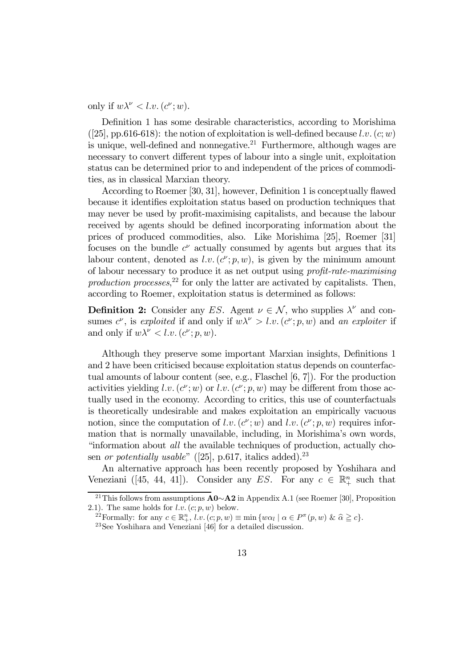only if  $w\lambda^{\nu} < l.v. (c^{\nu}; w)$ .

Definition 1 has some desirable characteristics, according to Morishima ([25], pp.616-618): the notion of exploitation is well-defined because l.v.  $(c; w)$ is unique, well-defined and nonnegative.<sup>21</sup> Furthermore, although wages are necessary to convert different types of labour into a single unit, exploitation status can be determined prior to and independent of the prices of commodities, as in classical Marxian theory.

According to Roemer [30, 31], however, Definition 1 is conceptually flawed because it identifies exploitation status based on production techniques that may never be used by profit-maximising capitalists, and because the labour received by agents should be defined incorporating information about the prices of produced commodities, also. Like Morishima [25], Roemer [31] focuses on the bundle  $c^{\nu}$  actually consumed by agents but argues that its labour content, denoted as  $l.v. (c^{\nu}; p, w)$ , is given by the minimum amount of labour necessary to produce it as net output using profit-rate-maximising production processes,<sup>22</sup> for only the latter are activated by capitalists. Then, according to Roemer, exploitation status is determined as follows:

**Definition 2:** Consider any ES. Agent  $\nu \in \mathcal{N}$ , who supplies  $\lambda^{\nu}$  and consumes c<sup> $\nu$ </sup>, is exploited if and only if  $w\lambda^{\nu} > l.v.$  (c<sup> $\nu$ </sup>; p, w) and an exploiter if and only if  $w\lambda^{\nu} < l.v. (c^{\nu}; p, w)$ .

Although they preserve some important Marxian insights, Definitions 1 and 2 have been criticised because exploitation status depends on counterfactual amounts of labour content (see, e.g., Flaschel [6, 7]). For the production activities yielding l.v.  $(c^{\nu}; w)$  or l.v.  $(c^{\nu}; p, w)$  may be different from those actually used in the economy. According to critics, this use of counterfactuals is theoretically undesirable and makes exploitation an empirically vacuous notion, since the computation of l.v.  $(c^{\nu}; w)$  and l.v.  $(c^{\nu}; p, w)$  requires information that is normally unavailable, including, in Morishima's own words, "information about all the available techniques of production, actually chosen *or potentially usable*" ([25], p.617, italics added).<sup>23</sup>

An alternative approach has been recently proposed by Yoshihara and Veneziani ([45, 44, 41]). Consider any ES. For any  $c \in \mathbb{R}^n_+$  such that

<sup>&</sup>lt;sup>21</sup>This follows from assumptions  $\bf{A0} \sim \bf{A2}$  in Appendix A.1 (see Roemer [30], Proposition 2.1). The same holds for  $l.v.$   $(c; p, w)$  below.

<sup>&</sup>lt;sup>22</sup> Formally: for any  $c \in \mathbb{R}_+^n$ ,  $l.v. (c; p, w) \equiv \min \{w\alpha_l | \alpha \in P^{\pi}(p, w) \& \hat{\alpha} \geq c\}$ .<br><sup>23</sup> See Yoshihara and Veneziani [46] for a detailed discussion.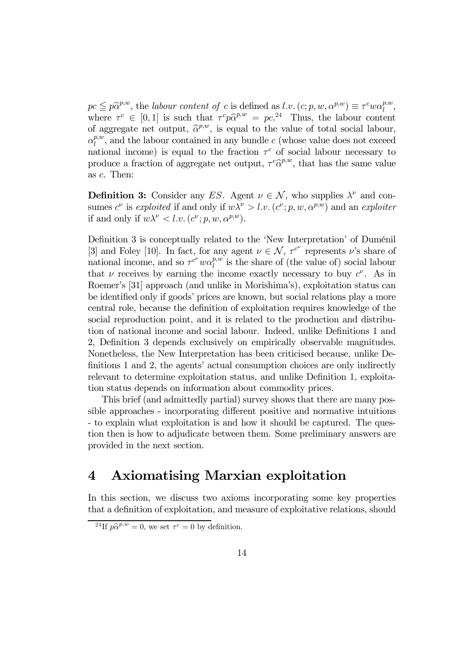$pc \leq p\hat{\alpha}^{p,w}$ , the labour content of c is defined as  $l.v. (c; p, w, \alpha^{p,w}) \equiv \tau^c w \alpha_l^{p,w}$ , where  $\tau^c \in [0,1]$  is such that  $\tau^c p \hat{\alpha}^{p,w} = pc^{24}$ . Thus, the labour content of aggregate net output,  $\hat{\alpha}^{p,w}$ , is equal to the value of total social labour,  $\alpha_l^{p,w}$ , and the labour contained in any bundle c (whose value does not exceed national income) is equal to the fraction  $\tau^c$  of social labour necessary to produce a fraction of aggregate net output,  $\tau^c \hat{\alpha}^{p,w}$ , that has the same value as c. Then:

**Definition 3:** Consider any ES. Agent  $\nu \in \mathcal{N}$ , who supplies  $\lambda^{\nu}$  and consumes c<sup>ν</sup> is exploited if and only if  $w\lambda^{\nu} > l.v.$  (c<sup>ν</sup>; p, w,  $\alpha^{p,w}$ ) and an exploiter if and only if  $w\lambda^{\nu} < l.v. (c^{\nu}; p, w, \alpha^{p,w}).$ 

Definition 3 is conceptually related to the 'New Interpretation' of Duménil [3] and Foley [10]. In fact, for any agent  $\nu \in \mathcal{N}$ ,  $\tau^{c^{\nu}}$  represents  $\nu$ 's share of national income, and so  $\tau^{c^{\nu}} w \alpha_l^{p,w}$  is the share of (the value of) social labour that  $\nu$  receives by earning the income exactly necessary to buy  $c^{\nu}$ . As in Roemer's [31] approach (and unlike in Morishima's), exploitation status can be identified only if goods' prices are known, but social relations play a more central role, because the definition of exploitation requires knowledge of the social reproduction point, and it is related to the production and distribution of national income and social labour. Indeed, unlike Definitions 1 and 2, Definition 3 depends exclusively on empirically observable magnitudes. Nonetheless, the New Interpretation has been criticised because, unlike Definitions 1 and 2, the agents' actual consumption choices are only indirectly relevant to determine exploitation status, and unlike Definition 1, exploitation status depends on information about commodity prices.

This brief (and admittedly partial) survey shows that there are many possible approaches - incorporating different positive and normative intuitions - to explain what exploitation is and how it should be captured. The question then is how to adjudicate between them. Some preliminary answers are provided in the next section.

### 4 Axiomatising Marxian exploitation

In this section, we discuss two axioms incorporating some key properties that a definition of exploitation, and measure of exploitative relations, should

<sup>&</sup>lt;sup>24</sup>If  $p\hat{\alpha}^{p,w} = 0$ , we set  $\tau^c = 0$  by definition.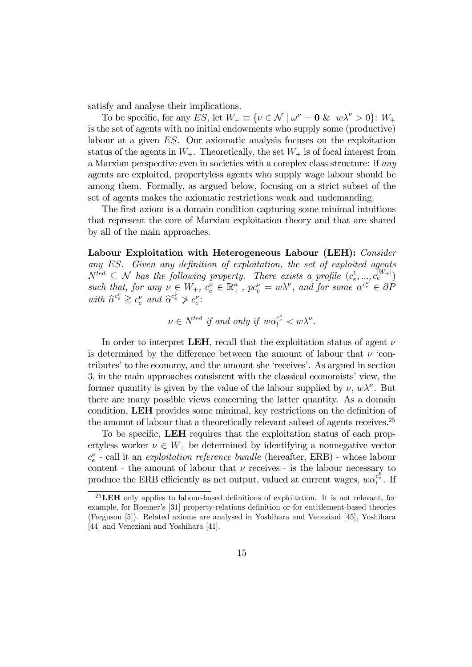satisfy and analyse their implications.

To be specific, for any ES, let  $W_+ \equiv \{ \nu \in \mathcal{N} \mid \omega^{\nu} = \mathbf{0} \& w\lambda^{\nu} > 0 \}$ :  $W_+$ is the set of agents with no initial endowments who supply some (productive) labour at a given ES. Our axiomatic analysis focuses on the exploitation status of the agents in  $W_+$ . Theoretically, the set  $W_+$  is of focal interest from a Marxian perspective even in societies with a complex class structure: if any agents are exploited, propertyless agents who supply wage labour should be among them. Formally, as argued below, focusing on a strict subset of the set of agents makes the axiomatic restrictions weak and undemanding.

The first axiom is a domain condition capturing some minimal intuitions that represent the core of Marxian exploitation theory and that are shared by all of the main approaches.

Labour Exploitation with Heterogeneous Labour (LEH): Consider any ES. Given any definition of exploitation, the set of exploited agents  $N^{ted} \subseteq \mathcal{N}$  has the following property. There exists a profile  $(c_e^1, ..., c_e^{|W_+|})$ such that, for any  $\nu \in W_+$ ,  $c_e^{\nu} \in \mathbb{R}_+^n$ ,  $pc_e^{\nu} = w\lambda^{\nu}$ , and for some  $\alpha^{c_e^{\nu}} \in \partial F$ with  $\widehat{\alpha}^{c_e} \geq c_e^{\nu}$  and  $\widehat{\alpha}^{c_e} \ngeq c_e^{\nu}$ :

 $\nu \in N^{ted}$  if and only if  $w\alpha_l^{c_e^{\nu}} < w\lambda^{\nu}$ .

In order to interpret LEH, recall that the exploitation status of agent  $\nu$ is determined by the difference between the amount of labour that  $\nu$  'contributes' to the economy, and the amount she 'receives'. As argued in section 3, in the main approaches consistent with the classical economists' view, the former quantity is given by the value of the labour supplied by  $\nu, w\lambda^{\nu}$ . But there are many possible views concerning the latter quantity. As a domain condition, LEH provides some minimal, key restrictions on the definition of the amount of labour that a theoretically relevant subset of agents receives.<sup>25</sup>

To be specific, LEH requires that the exploitation status of each propertyless worker  $\nu \in W_+$  be determined by identifying a nonnegative vector  $c_e^{\nu}$  - call it an *exploitation reference bundle* (hereafter, ERB) - whose labour content - the amount of labour that  $\nu$  receives - is the labour necessary to produce the ERB efficiently as net output, valued at current wages,  $w\alpha_l^{c_e^k}$ . If

<sup>&</sup>lt;sup>25</sup>LEH only applies to labour-based definitions of exploitation. It is not relevant, for example, for Roemer's [31] property-relations definition or for entitlement-based theories (Ferguson [5]). Related axioms are analysed in Yoshihara and Veneziani [45], Yoshihara [44] and Veneziani and Yoshihara [41].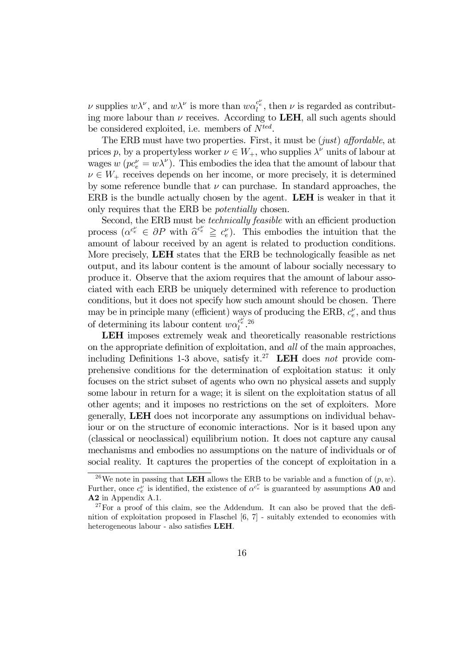$\nu$  supplies  $w\lambda^{\nu}$ , and  $w\lambda^{\nu}$  is more than  $w\alpha_l^{c_e^{\nu}}$ , then  $\nu$  is regarded as contributing more labour than  $\nu$  receives. According to **LEH**, all such agents should be considered exploited, i.e. members of  $N^{ted}$ .

The ERB must have two properties. First, it must be (just) affordable, at prices p, by a propertyless worker  $\nu \in W_+$ , who supplies  $\lambda^{\nu}$  units of labour at wages  $w (pc_e^{\nu} = w\lambda^{\nu})$ . This embodies the idea that the amount of labour that  $\nu \in W_+$  receives depends on her income, or more precisely, it is determined by some reference bundle that  $\nu$  can purchase. In standard approaches, the ERB is the bundle actually chosen by the agent. **LEH** is weaker in that it only requires that the ERB be potentially chosen.

Second, the ERB must be technically feasible with an efficient production process  $(\alpha^{c_e^{\nu}} \in \partial P$  with  $\widehat{\alpha}^{c_e^{\nu}} \geq c_e^{\nu})$ . This embodies the intuition that the amount of labour received by an agent is related to production conditions. More precisely, LEH states that the ERB be technologically feasible as net output, and its labour content is the amount of labour socially necessary to produce it. Observe that the axiom requires that the amount of labour associated with each ERB be uniquely determined with reference to production conditions, but it does not specify how such amount should be chosen. There may be in principle many (efficient) ways of producing the ERB,  $c_e^{\nu}$ , and thus of determining its labour content  $w\alpha_l^{c_e^\vee}$ .<sup>26</sup>

LEH imposes extremely weak and theoretically reasonable restrictions on the appropriate definition of exploitation, and all of the main approaches, including Definitions 1-3 above, satisfy it.<sup>27</sup> LEH does not provide comprehensive conditions for the determination of exploitation status: it only focuses on the strict subset of agents who own no physical assets and supply some labour in return for a wage; it is silent on the exploitation status of all other agents; and it imposes no restrictions on the set of exploiters. More generally, LEH does not incorporate any assumptions on individual behaviour or on the structure of economic interactions. Nor is it based upon any (classical or neoclassical) equilibrium notion. It does not capture any causal mechanisms and embodies no assumptions on the nature of individuals or of social reality. It captures the properties of the concept of exploitation in a

<sup>&</sup>lt;sup>26</sup>We note in passing that **LEH** allows the ERB to be variable and a function of  $(p, w)$ . Further, once  $c_e^{\nu}$  is identified, the existence of  $\alpha^{c_e^{\nu}}$  is guaranteed by assumptions **A0** and A2 in Appendix A.1.

 $27$  For a proof of this claim, see the Addendum. It can also be proved that the definition of exploitation proposed in Flaschel [6, 7] - suitably extended to economies with heterogeneous labour - also satisfies LEH.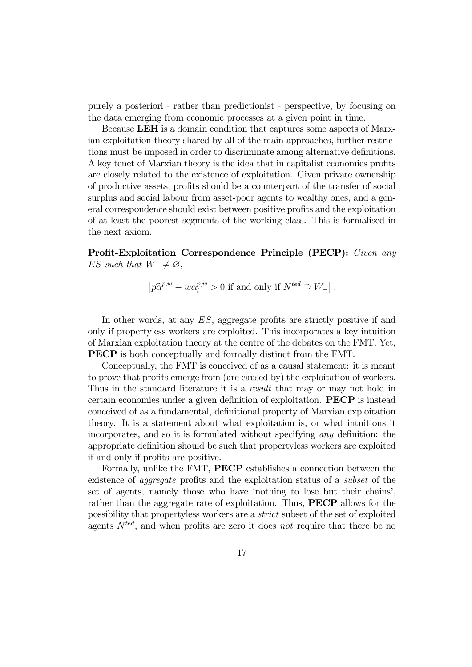purely a posteriori - rather than predictionist - perspective, by focusing on the data emerging from economic processes at a given point in time.

Because LEH is a domain condition that captures some aspects of Marxian exploitation theory shared by all of the main approaches, further restrictions must be imposed in order to discriminate among alternative definitions. A key tenet of Marxian theory is the idea that in capitalist economies profits are closely related to the existence of exploitation. Given private ownership of productive assets, profits should be a counterpart of the transfer of social surplus and social labour from asset-poor agents to wealthy ones, and a general correspondence should exist between positive profits and the exploitation of at least the poorest segments of the working class. This is formalised in the next axiom.

Profit-Exploitation Correspondence Principle (PECP): Given any ES such that  $W_+ \neq \emptyset$ ,

 $\left[ p\widehat{\alpha}^{p,w} - w\alpha_l^{p,w} > 0 \right]$  if and only if  $N^{ted} \supseteq W_+$ .

In other words, at any ES, aggregate profits are strictly positive if and only if propertyless workers are exploited. This incorporates a key intuition of Marxian exploitation theory at the centre of the debates on the FMT. Yet, PECP is both conceptually and formally distinct from the FMT.

Conceptually, the FMT is conceived of as a causal statement: it is meant to prove that profits emerge from (are caused by) the exploitation of workers. Thus in the standard literature it is a *result* that may or may not hold in certain economies under a given definition of exploitation. PECP is instead conceived of as a fundamental, definitional property of Marxian exploitation theory. It is a statement about what exploitation is, or what intuitions it incorporates, and so it is formulated without specifying any definition: the appropriate definition should be such that propertyless workers are exploited if and only if profits are positive.

Formally, unlike the FMT, PECP establishes a connection between the existence of aggregate profits and the exploitation status of a subset of the set of agents, namely those who have 'nothing to lose but their chains', rather than the aggregate rate of exploitation. Thus, PECP allows for the possibility that propertyless workers are a strict subset of the set of exploited agents  $N^{ted}$ , and when profits are zero it does not require that there be no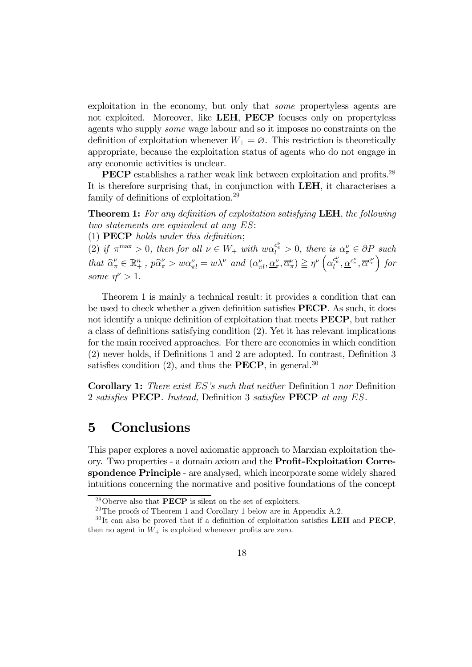exploitation in the economy, but only that some propertyless agents are not exploited. Moreover, like LEH, PECP focuses only on propertyless agents who supply some wage labour and so it imposes no constraints on the definition of exploitation whenever  $W_+ = \emptyset$ . This restriction is theoretically appropriate, because the exploitation status of agents who do not engage in any economic activities is unclear.

**PECP** establishes a rather weak link between exploitation and profits.<sup>28</sup> It is therefore surprising that, in conjunction with LEH, it characterises a family of definitions of exploitation.<sup>29</sup>

Theorem 1: For any definition of exploitation satisfying LEH, the following two statements are equivalent at any ES:

(1) PECP holds under this definition;

(2) if  $\pi^{\max} > 0$ , then for all  $\nu \in W_+$  with  $w\alpha_i^{c_{\epsilon}'} > 0$ , there is  $\alpha_{\pi}^{\nu} \in \partial P$  such that  $\widehat{\alpha}^{\nu}_{\pi} \in \mathbb{R}^{n}_{+}$ ,  $p\widehat{\alpha}^{\nu}_{\pi} > w\alpha^{\nu}_{\pi l} = w\lambda^{\nu}$  and  $(\alpha^{\nu}_{\pi l}, \underline{\alpha}^{\nu}_{\pi}, \overline{\alpha}^{\nu}_{\pi}) \geq \eta^{\nu} (\alpha^{\mathcal{C}^{\nu}_{e}}, \underline{\alpha}^{\mathcal{C}^{\nu}_{e}}, \overline{\alpha}^{\mathcal{C}^{\nu}_{e}})$  for some  $\eta^{\nu} > 1$ .

Theorem 1 is mainly a technical result: it provides a condition that can be used to check whether a given definition satisfies PECP. As such, it does not identify a unique definition of exploitation that meets **PECP**, but rather a class of definitions satisfying condition (2). Yet it has relevant implications for the main received approaches. For there are economies in which condition (2) never holds, if Definitions 1 and 2 are adopted. In contrast, Definition 3 satisfies condition  $(2)$ , and thus the **PECP**, in general.<sup>30</sup>

Corollary 1: There exist ES's such that neither Definition 1 nor Definition 2 satisfies **PECP**. Instead, Definition 3 satisfies **PECP** at any ES.

#### 5 Conclusions

This paper explores a novel axiomatic approach to Marxian exploitation theory. Two properties - a domain axiom and the Profit-Exploitation Correspondence Principle - are analysed, which incorporate some widely shared intuitions concerning the normative and positive foundations of the concept

<sup>28</sup>Oberve also that PECP is silent on the set of exploiters.

 $29$ The proofs of Theorem 1 and Corollary 1 below are in Appendix A.2.

 $30$ It can also be proved that if a definition of exploitation satisfies LEH and PECP, then no agent in  $W_+$  is exploited whenever profits are zero.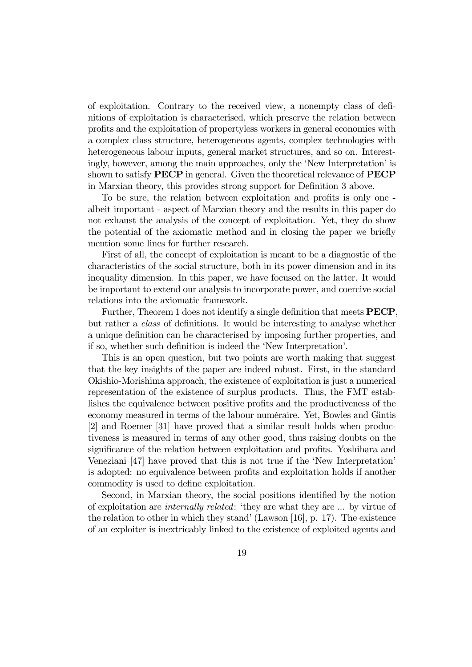of exploitation. Contrary to the received view, a nonempty class of definitions of exploitation is characterised, which preserve the relation between profits and the exploitation of propertyless workers in general economies with a complex class structure, heterogeneous agents, complex technologies with heterogeneous labour inputs, general market structures, and so on. Interestingly, however, among the main approaches, only the 'New Interpretation' is shown to satisfy **PECP** in general. Given the theoretical relevance of **PECP** in Marxian theory, this provides strong support for Definition 3 above.

To be sure, the relation between exploitation and profits is only one albeit important - aspect of Marxian theory and the results in this paper do not exhaust the analysis of the concept of exploitation. Yet, they do show the potential of the axiomatic method and in closing the paper we briefly mention some lines for further research.

First of all, the concept of exploitation is meant to be a diagnostic of the characteristics of the social structure, both in its power dimension and in its inequality dimension. In this paper, we have focused on the latter. It would be important to extend our analysis to incorporate power, and coercive social relations into the axiomatic framework.

Further, Theorem 1 does not identify a single definition that meets PECP, but rather a class of definitions. It would be interesting to analyse whether a unique definition can be characterised by imposing further properties, and if so, whether such definition is indeed the 'New Interpretation'.

This is an open question, but two points are worth making that suggest that the key insights of the paper are indeed robust. First, in the standard Okishio-Morishima approach, the existence of exploitation is just a numerical representation of the existence of surplus products. Thus, the FMT establishes the equivalence between positive profits and the productiveness of the economy measured in terms of the labour numéraire. Yet, Bowles and Gintis [2] and Roemer [31] have proved that a similar result holds when productiveness is measured in terms of any other good, thus raising doubts on the significance of the relation between exploitation and profits. Yoshihara and Veneziani [47] have proved that this is not true if the 'New Interpretation' is adopted: no equivalence between profits and exploitation holds if another commodity is used to define exploitation.

Second, in Marxian theory, the social positions identified by the notion of exploitation are internally related: 'they are what they are ... by virtue of the relation to other in which they stand' (Lawson [16], p. 17). The existence of an exploiter is inextricably linked to the existence of exploited agents and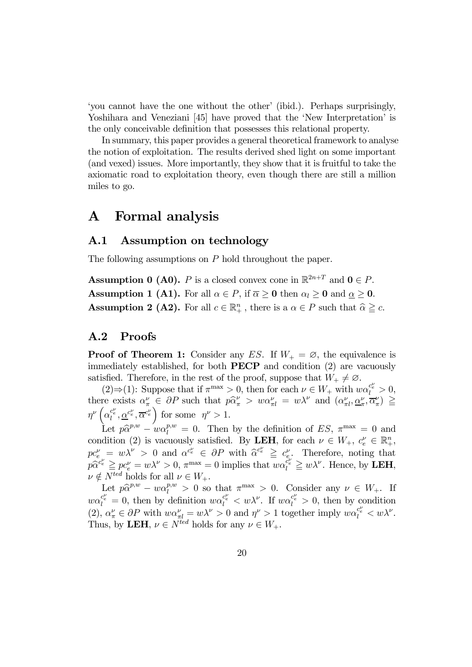'you cannot have the one without the other' (ibid.). Perhaps surprisingly, Yoshihara and Veneziani [45] have proved that the 'New Interpretation' is the only conceivable definition that possesses this relational property.

In summary, this paper provides a general theoretical framework to analyse the notion of exploitation. The results derived shed light on some important (and vexed) issues. More importantly, they show that it is fruitful to take the axiomatic road to exploitation theory, even though there are still a million miles to go.

#### A Formal analysis

#### A.1 Assumption on technology

The following assumptions on P hold throughout the paper.

**Assumption 0 (A0).** P is a closed convex cone in  $\mathbb{R}^{2n+T}$  and  $\mathbf{0} \in P$ . **Assumption 1 (A1).** For all  $\alpha \in P$ , if  $\overline{\alpha} \ge 0$  then  $\alpha_l \ge 0$  and  $\alpha \ge 0$ . **Assumption 2 (A2).** For all  $c \in \mathbb{R}^n_+$ , there is a  $\alpha \in P$  such that  $\widehat{\alpha} \geq c$ .

#### A.2 Proofs

**Proof of Theorem 1:** Consider any ES. If  $W_+ = \emptyset$ , the equivalence is immediately established, for both PECP and condition (2) are vacuously satisfied. Therefore, in the rest of the proof, suppose that  $W_+ \neq \emptyset$ .

(2)⇒(1): Suppose that if  $\pi^{\max} > 0$ , then for each  $\nu \in W_+$  with  $w\alpha_i^{c_i^{\nu}} > 0$ , there exists  $\alpha_{\pi}^{\nu} \in \partial P$  such that  $p\widehat{\alpha}_{\pi}^{\nu} > w\alpha_{\pi l}^{\nu} = w\lambda^{\nu}$  and  $(\alpha_{\pi l}^{\nu}, \underline{\alpha}_{\pi}^{\nu}, \overline{\alpha}_{\pi}^{\nu}) \ge$  $\eta^{\nu}\left(\alpha_{l}^{c_{e}^{\nu}}, \underline{\alpha}^{c_{e}^{\nu}}, \overline{\alpha}^{c_{e}^{\nu}}\right)$  for some  $\eta^{\nu} > 1$ .

Let  $p\hat{\alpha}^{p,w} - w\hat{\alpha}^{p,w}_l = 0$ . Then by the definition of ES,  $\pi^{\max} = 0$  and dition (9) is represented at infinite  $\lim_{n \to \infty} \mathbf{F} \mathbf{F} \mathbf{H}$ , for each  $u \in W$ ,  $v \in \mathbb{R}^n$ condition (2) is vacuously satisfied. By LEH, for each  $\nu \in W_+$ ,  $c_e^{\nu} \in \mathbb{R}^n_+$ ,  $pc_e^{\nu} = w\lambda^{\nu} > 0$  and  $\alpha^{c_e^{\nu}} \in \partial P$  with  $\widehat{\alpha}^{c_e^{\nu}} \geq c_e^{\nu}$ . Therefore, noting that  $p\widehat{\alpha}^{c_e^{\nu}} \geq pc_e^{\nu} = w\lambda^{\nu} > 0$ ,  $\pi^{\max} = 0$  implies that  $w\alpha_l^{c_e^{\nu}} \geq w\lambda^{\nu}$ . Hence, by **LEH**,  $\nu \notin \overline{N}^{ted}$  holds for all  $\nu \in W_+.$ 

Let  $p\hat{\alpha}^{p,w} - w\alpha_l^{p,w} > 0$  so that  $\pi^{\max} > 0$ . Consider any  $\nu \in W_+$ . If  $w\alpha_l^{c_e^{\nu}} = 0$ , then by definition  $w\alpha_l^{c_e^{\nu}} < w\lambda^{\nu}$ . If  $w\alpha_l^{c_e^{\nu}} > 0$ , then by condition (2),  $\alpha''_{\pi} \in \partial P$  with  $w\alpha''_{\pi l} = w\lambda^{\nu} > 0$  and  $\eta^{\nu} > 1$  together imply  $w\alpha_l^{c_{\epsilon}^{\nu}} < w\lambda^{\nu}$ . Thus, by LEH,  $\nu \in N^{ted}$  holds for any  $\nu \in W_+$ .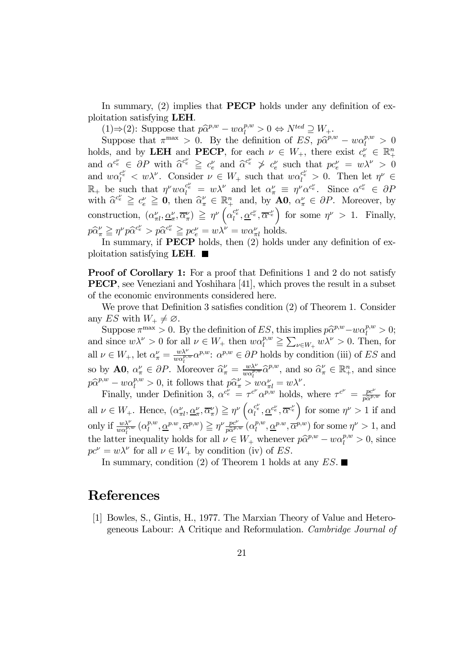In summary, (2) implies that PECP holds under any definition of exploitation satisfying LEH.

(1)  $\Rightarrow$  (2): Suppose that  $p\hat{\alpha}^{p,w} - w\alpha_l^{p,w} > 0 \Leftrightarrow N^{ted} \supseteq W_+$ .

Suppose that  $\pi^{\max} > 0$ . By the definition of  $ES$ ,  $p\hat{\alpha}^{p,w} - w\alpha_l^{p,w} > 0$ holds, and by **LEH** and **PECP**, for each  $\nu \in W_+$ , there exist  $c_e^{\nu} \in \mathbb{R}^n_+$ and  $\alpha^{c_e^{\nu}} \in \partial P$  with  $\widehat{\alpha}^{c_e^{\nu}} \geq c_e^{\nu}$  and  $\widehat{\alpha}^{c_e^{\nu}} \geq c_e^{\nu}$  such that  $pc_e^{\nu} = w\lambda^{\nu} > 0$ and  $w\alpha_i^{c_e^{\nu}} < w\lambda^{\nu}$ . Consider  $\nu \in W_+$  such that  $w\alpha_i^{c_e^{\nu}} > 0$ . Then let  $\eta^{\nu} \in$  $\mathbb{R}_+$  be such that  $\eta^{\nu}w\alpha_i^{c_{e}^{\nu}} = w\lambda^{\nu}$  and let  $\alpha_{\pi}^{\nu} \equiv \eta^{\nu}\alpha^{c_{e}^{\nu}}$ . Since  $\alpha^{c_{e}^{\nu}} \in \partial P$ with  $\hat{\alpha}^{c_e^{\nu}} \geq c_e^{\nu} \geq 0$ , then  $\hat{\alpha}^{\nu}_{\pi} \in \mathbb{R}^n_+$  and, by  $\mathbf{A0}$ ,  $\alpha^{\nu}_{\pi} \in \partial P$ . Moreover, by construction,  $(\alpha_{\pi l}^{\nu}, \alpha_{\pi}^{\nu}, \overline{\alpha}_{\pi}^{\nu}) \geq \eta^{\nu} (\alpha_{l}^{c_{e}^{\nu}}, \alpha^{c_{e}^{\nu}}, \overline{\alpha}^{c_{e}^{\nu}})$  for some  $\eta^{\nu} > 1$ . Finally,  $p\widehat{\alpha}^{\nu}_{\pi} \geq \eta^{\nu} p\widehat{\alpha}^{c^{\nu}} > p\widehat{\alpha}^{c^{\nu}} \geq pc^{\nu}_{e} = w\lambda^{\nu} = w\alpha^{\nu}_{\pi l}$  holds.

In summary, if **PECP** holds, then (2) holds under any definition of exploitation satisfying LEH.  $\blacksquare$ 

Proof of Corollary 1: For a proof that Definitions 1 and 2 do not satisfy PECP, see Veneziani and Yoshihara [41], which proves the result in a subset of the economic environments considered here.

We prove that Definition 3 satisfies condition (2) of Theorem 1. Consider any ES with  $W_+ \neq \emptyset$ .

Suppose  $\pi^{\max} > 0$ . By the definition of ES, this implies  $p\hat{\alpha}^{p,w} - w\alpha_l^{p,w} > 0$ ; and since  $w\lambda^{\nu} > 0$  for all  $\nu \in W_+$  then  $w\alpha_l^{p,w} \geq \sum_{\nu \in W_+} w\lambda^{\nu} > 0$ . Then, for all  $\nu \in W_+$ , let  $\alpha_{\pi}^{\nu} = \frac{w\lambda^{\nu}}{w\alpha_{l}^{p,w}} \alpha^{p,w}$ :  $\alpha^{p,w} \in \partial P$  holds by condition (iii) of ES and so by **A0**,  $\alpha_{\pi}^{\nu} \in \partial P$ . Moreover  $\widehat{\alpha}_{\pi}^{\nu} = \frac{w\lambda^{\nu}}{w\alpha_{l}^{p,w}} \widehat{\alpha}^{p,w}$ , and so  $\widehat{\alpha}_{\pi}^{\nu} \in \mathbb{R}_{+}^{n}$ , and since  $p\widehat{\alpha}^{p,w} - w\alpha_l^{p,w} > 0$ , it follows that  $p\widehat{\alpha}^\nu_\pi > w\alpha^\nu_{\pi l} = w\lambda^\nu$ .

Finally, under Definition 3,  $\alpha^{c_e^{\nu}} = \tau^{c^{\nu}} \alpha^{p,w}$  holds, where  $\tau^{c^{\nu}} = \frac{pe^{\nu}}{p\hat{\alpha}^{p,w}}$  for all  $\nu \in W_+$ . Hence,  $(\alpha_{\pi l}^{\nu}, \underline{\alpha}_{\pi}^{\nu}, \overline{\alpha}_{\pi}^{\nu}) \geqq \eta^{\nu} \left( \alpha_l^{c_e^{\nu}}, \underline{\alpha}^{c_e^{\nu}}, \overline{\alpha}^{c_e^{\nu}} \right)$  for some  $\eta^{\nu} > 1$  if and only if  $\frac{w\lambda^{\nu}}{w\alpha_l^{p,w}}\left(\alpha_l^{p,w},\underline{\alpha}^{p,w},\overline{\alpha}^{p,w}\right) \geq \eta^{\nu}\frac{pc^{\nu}}{p\widehat{\alpha}^{p,w}}\left(\alpha_l^{p,w},\underline{\alpha}^{p,w},\overline{\alpha}^{p,w}\right)$  for some  $\eta^{\nu} > 1$ , and the latter inequality holds for all  $\nu \in W_+$  whenever  $p\widehat{\alpha}^{p,w} - w\alpha_l^{p,w} > 0$ , since  $pc^{\nu} = w\lambda^{\nu}$  for all  $\nu \in W_+$  by condition (iv) of ES.

In summary, condition (2) of Theorem 1 holds at any  $ES$ .

### References

[1] Bowles, S., Gintis, H., 1977. The Marxian Theory of Value and Heterogeneous Labour: A Critique and Reformulation. Cambridge Journal of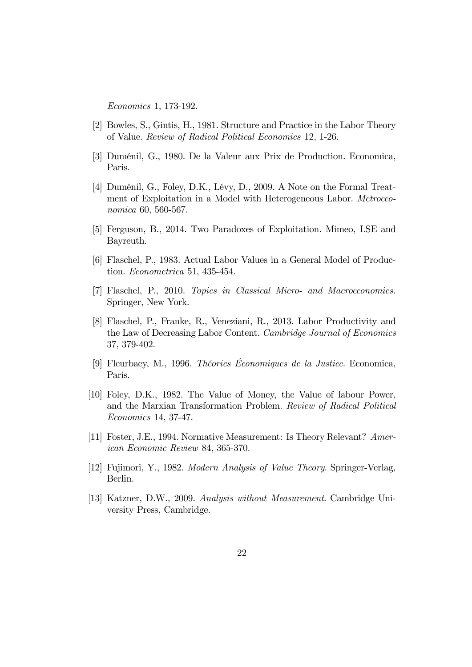Economics 1, 173-192.

- [2] Bowles, S., Gintis, H., 1981. Structure and Practice in the Labor Theory of Value. Review of Radical Political Economics 12, 1-26.
- [3] Duménil, G., 1980. De la Valeur aux Prix de Production. Economica, Paris.
- [4] Duménil, G., Foley, D.K., Lévy, D., 2009. A Note on the Formal Treatment of Exploitation in a Model with Heterogeneous Labor. Metroeconomica 60, 560-567.
- [5] Ferguson, B., 2014. Two Paradoxes of Exploitation. Mimeo, LSE and Bayreuth.
- [6] Flaschel, P., 1983. Actual Labor Values in a General Model of Production. Econometrica 51, 435-454.
- [7] Flaschel, P., 2010. Topics in Classical Micro- and Macroeconomics. Springer, New York.
- [8] Flaschel, P., Franke, R., Veneziani, R., 2013. Labor Productivity and the Law of Decreasing Labor Content. Cambridge Journal of Economics 37, 379-402.
- [9] Fleurbaey, M., 1996. Théories Économiques de la Justice. Economica, Paris.
- [10] Foley, D.K., 1982. The Value of Money, the Value of labour Power, and the Marxian Transformation Problem. Review of Radical Political Economics 14, 37-47.
- [11] Foster, J.E., 1994. Normative Measurement: Is Theory Relevant? American Economic Review 84, 365-370.
- [12] Fujimori, Y., 1982. Modern Analysis of Value Theory. Springer-Verlag, Berlin.
- [13] Katzner, D.W., 2009. Analysis without Measurement. Cambridge University Press, Cambridge.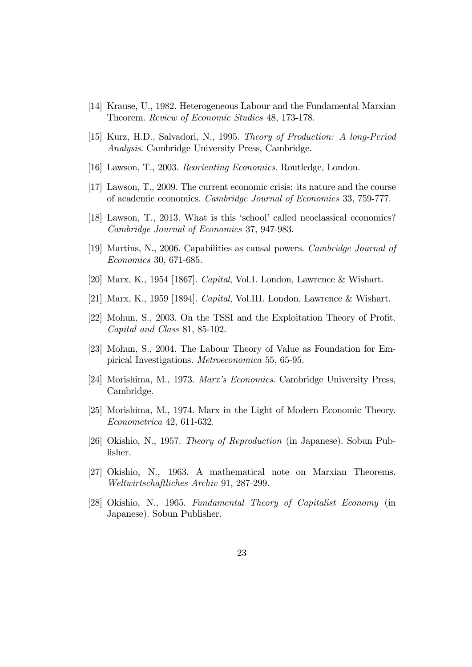- [14] Krause, U., 1982. Heterogeneous Labour and the Fundamental Marxian Theorem. Review of Economic Studies 48, 173-178.
- [15] Kurz, H.D., Salvadori, N., 1995. Theory of Production: A long-Period Analysis. Cambridge University Press, Cambridge.
- [16] Lawson, T., 2003. Reorienting Economics. Routledge, London.
- [17] Lawson, T., 2009. The current economic crisis: its nature and the course of academic economics. Cambridge Journal of Economics 33, 759-777.
- [18] Lawson, T., 2013. What is this 'school' called neoclassical economics? Cambridge Journal of Economics 37, 947-983.
- [19] Martins, N., 2006. Capabilities as causal powers. Cambridge Journal of Economics 30, 671-685.
- [20] Marx, K., 1954 [1867]. Capital, Vol.I. London, Lawrence & Wishart.
- [21] Marx, K., 1959 [1894]. Capital, Vol.III. London, Lawrence & Wishart.
- [22] Mohun, S., 2003. On the TSSI and the Exploitation Theory of Profit. Capital and Class 81, 85-102.
- [23] Mohun, S., 2004. The Labour Theory of Value as Foundation for Empirical Investigations. Metroeconomica 55, 65-95.
- [24] Morishima, M., 1973. Marx's Economics. Cambridge University Press, Cambridge.
- [25] Morishima, M., 1974. Marx in the Light of Modern Economic Theory. Econometrica 42, 611-632.
- [26] Okishio, N., 1957. Theory of Reproduction (in Japanese). Sobun Publisher.
- [27] Okishio, N., 1963. A mathematical note on Marxian Theorems. Weltwirtschaftliches Archiv 91, 287-299.
- [28] Okishio, N., 1965. Fundamental Theory of Capitalist Economy (in Japanese). Sobun Publisher.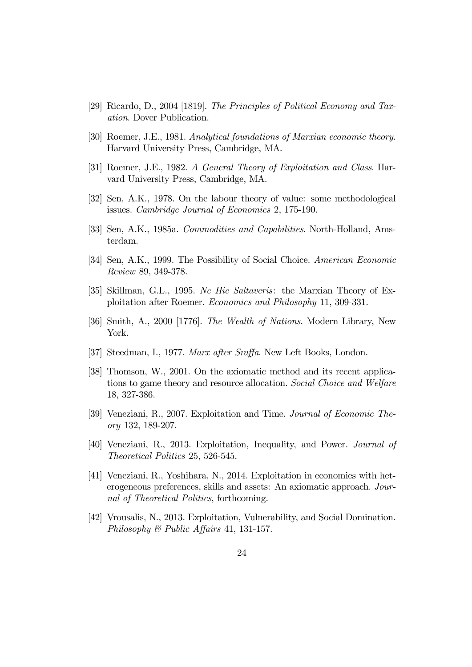- [29] Ricardo, D., 2004 [1819]. The Principles of Political Economy and Taxation. Dover Publication.
- [30] Roemer, J.E., 1981. Analytical foundations of Marxian economic theory. Harvard University Press, Cambridge, MA.
- [31] Roemer, J.E., 1982. A General Theory of Exploitation and Class. Harvard University Press, Cambridge, MA.
- [32] Sen, A.K., 1978. On the labour theory of value: some methodological issues. Cambridge Journal of Economics 2, 175-190.
- [33] Sen, A.K., 1985a. Commodities and Capabilities. North-Holland, Amsterdam.
- [34] Sen, A.K., 1999. The Possibility of Social Choice. American Economic Review 89, 349-378.
- [35] Skillman, G.L., 1995. Ne Hic Saltaveris: the Marxian Theory of Exploitation after Roemer. Economics and Philosophy 11, 309-331.
- [36] Smith, A., 2000 [1776]. The Wealth of Nations. Modern Library, New York.
- [37] Steedman, I., 1977. Marx after Sraffa. New Left Books, London.
- [38] Thomson, W., 2001. On the axiomatic method and its recent applications to game theory and resource allocation. Social Choice and Welfare 18, 327-386.
- [39] Veneziani, R., 2007. Exploitation and Time. Journal of Economic Theory 132, 189-207.
- [40] Veneziani, R., 2013. Exploitation, Inequality, and Power. Journal of Theoretical Politics 25, 526-545.
- [41] Veneziani, R., Yoshihara, N., 2014. Exploitation in economies with heterogeneous preferences, skills and assets: An axiomatic approach. Journal of Theoretical Politics, forthcoming.
- [42] Vrousalis, N., 2013. Exploitation, Vulnerability, and Social Domination. Philosophy  $\mathcal B$  Public Affairs 41, 131-157.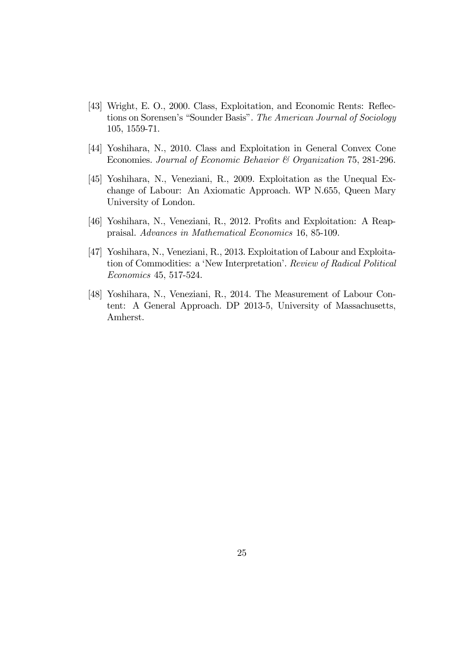- [43] Wright, E. O., 2000. Class, Exploitation, and Economic Rents: Reflections on Sorensen's "Sounder Basis". The American Journal of Sociology 105, 1559-71.
- [44] Yoshihara, N., 2010. Class and Exploitation in General Convex Cone Economies. Journal of Economic Behavior & Organization 75, 281-296.
- [45] Yoshihara, N., Veneziani, R., 2009. Exploitation as the Unequal Exchange of Labour: An Axiomatic Approach. WP N.655, Queen Mary University of London.
- [46] Yoshihara, N., Veneziani, R., 2012. Profits and Exploitation: A Reappraisal. Advances in Mathematical Economics 16, 85-109.
- [47] Yoshihara, N., Veneziani, R., 2013. Exploitation of Labour and Exploitation of Commodities: a 'New Interpretation'. Review of Radical Political Economics 45, 517-524.
- [48] Yoshihara, N., Veneziani, R., 2014. The Measurement of Labour Content: A General Approach. DP 2013-5, University of Massachusetts, Amherst.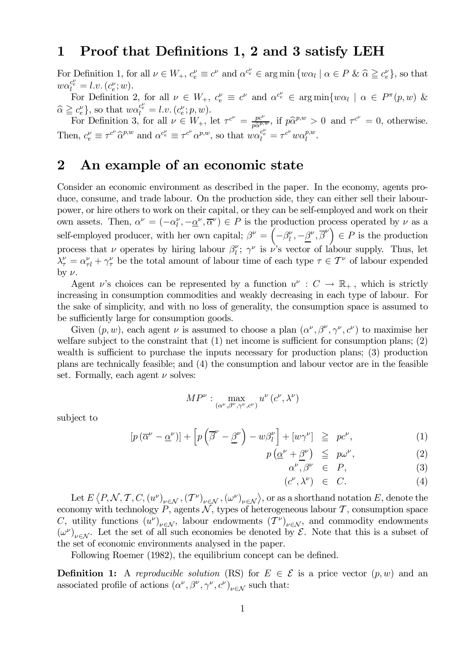#### 1 Proof that Definitions 1, 2 and 3 satisfy LEH

For Definition 1, for all  $\nu \in W_+$ ,  $c_e^{\nu} \equiv c^{\nu}$  and  $\alpha^{c_e^{\nu}} \in \arg \min \{ w \alpha_l \mid \alpha \in P \& \hat{\alpha} \geq c_e^{\nu} \}$ , so that  $w\alpha_l^{c_e^{\nu}} = l.v. (c_e^{\nu}; w).$ 

For Definition 2, for all  $\nu \in W_+$ ,  $c_e^{\nu} \equiv c^{\nu}$  and  $\alpha^{c_e^{\nu}} \in \arg\min\{w\alpha_l \mid \alpha \in P^{\pi}(p,w) \&\right)$  $\widehat{\alpha} \geqq c_e^{\nu}$ , so that  $w\alpha_l^{c_e^{\nu}} = l.v. (c_e^{\nu}; p, w)$ .

For Definition 3, for all  $\nu \in W_+$ , let  $\tau^{c^{\nu}} = \frac{pc^{\nu}}{p\hat{\alpha}^{p,w}}$ , if  $p\hat{\alpha}^{p,w} > 0$  and  $\tau^{c^{\nu}} = 0$ , otherwise. Then,  $c_e^{\nu} \equiv \tau^{c^{\nu}} \widehat{\alpha}^{p,w}$  and  $\alpha^{c_e^{\nu}} \equiv \tau^{c^{\nu}} \alpha^{p,w}$ , so that  $w \alpha_l^{c_e^{\nu}} = \tau^{c^{\nu}} w \alpha_l^{p,w}$ .

### 2 An example of an economic state

Consider an economic environment as described in the paper. In the economy, agents produce, consume, and trade labour. On the production side, they can either sell their labourpower, or hire others to work on their capital, or they can be self-employed and work on their own assets. Then,  $\alpha^{\nu} = (-\alpha_l^{\nu}, -\underline{\alpha}^{\nu}, \overline{\alpha}^{\nu}) \in P$  is the production process operated by  $\nu$  as a self-employed producer, with her own capital;  $\beta^{\nu} = \left(-\beta_l^{\nu}, -\underline{\beta}^{\nu}, \overline{\beta}^{\nu}\right) \in P$  is the production process that  $\nu$  operates by hiring labour  $\beta_l^{\nu}$ ;  $\gamma^{\nu}$  is  $\nu$ 's vector of labour supply. Thus, let  $\lambda^{\nu}_{\tau} = \alpha^{\nu}_{\tau} + \gamma^{\nu}_{\tau}$  be the total amount of labour time of each type  $\tau \in \mathcal{T}^{\nu}$  of labour expended by  $\nu$ .

Agent v's choices can be represented by a function  $u^{\nu}: C \to \mathbb{R}_{+}$ , which is strictly increasing in consumption commodities and weakly decreasing in each type of labour. For the sake of simplicity, and with no loss of generality, the consumption space is assumed to be sufficiently large for consumption goods.

Given  $(p, w)$ , each agent  $\nu$  is assumed to choose a plan  $(\alpha^{\nu}, \beta^{\nu}, \gamma^{\nu}, c^{\nu})$  to maximise her welfare subject to the constraint that  $(1)$  net income is sufficient for consumption plans;  $(2)$ wealth is sufficient to purchase the inputs necessary for production plans; (3) production plans are technically feasible; and (4) the consumption and labour vector are in the feasible set. Formally, each agent  $\nu$  solves:

$$
MP^{\nu}:\max_{(\alpha^{\nu},\beta^{\nu},\gamma^{\nu},c^{\nu})}u^{\nu}\left(c^{\nu},\lambda^{\nu}\right)
$$

subject to

$$
[p(\overline{\alpha}^{\nu} - \underline{\alpha}^{\nu})] + \left[p\left(\overline{\beta}^{\nu} - \underline{\beta}^{\nu}\right) - w\beta_{l}^{\nu}\right] + [w\gamma^{\nu}] \geq pc^{\nu},\tag{1}
$$

p

$$
\left(\underline{\alpha}^{\nu} + \underline{\beta}^{\nu}\right) \leq p\omega^{\nu}, \tag{2}
$$

$$
\alpha^{\nu}, \beta^{\nu} \in P, \tag{3}
$$

$$
(c^{\nu}, \lambda^{\nu}) \in C. \tag{4}
$$

Let  $E \langle P, \mathcal{N}, \mathcal{T}, C, (u^{\nu})_{\nu \in \mathcal{N}}, (\mathcal{T}^{\nu})_{\nu \in \mathcal{N}}, (\omega^{\nu})_{\nu \in \mathcal{N}} \rangle$ , or as a shorthand notation E, denote the economy with technology  $P$ , agents  $\mathcal N$ , types of heterogeneous labour  $\mathcal T$ , consumption space C, utility functions  $(u^{\nu})_{\nu \in \mathcal{N}}$ , labour endowments  $(\mathcal{T}^{\nu})_{\nu \in \mathcal{N}}$ , and commodity endowments  $(\omega^{\nu})_{\nu \in \mathcal{N}}$ . Let the set of all such economies be denoted by  $\mathcal{E}$ . Note that this is a subset of the set of economic environments analysed in the paper.

Following Roemer (1982), the equilibrium concept can be defined.

**Definition 1:** A reproducible solution (RS) for  $E \in \mathcal{E}$  is a price vector  $(p, w)$  and an associated profile of actions  $(\alpha^{\nu}, \beta^{\nu}, \gamma^{\nu}, c^{\nu})_{\nu \in \mathcal{N}}$  such that: